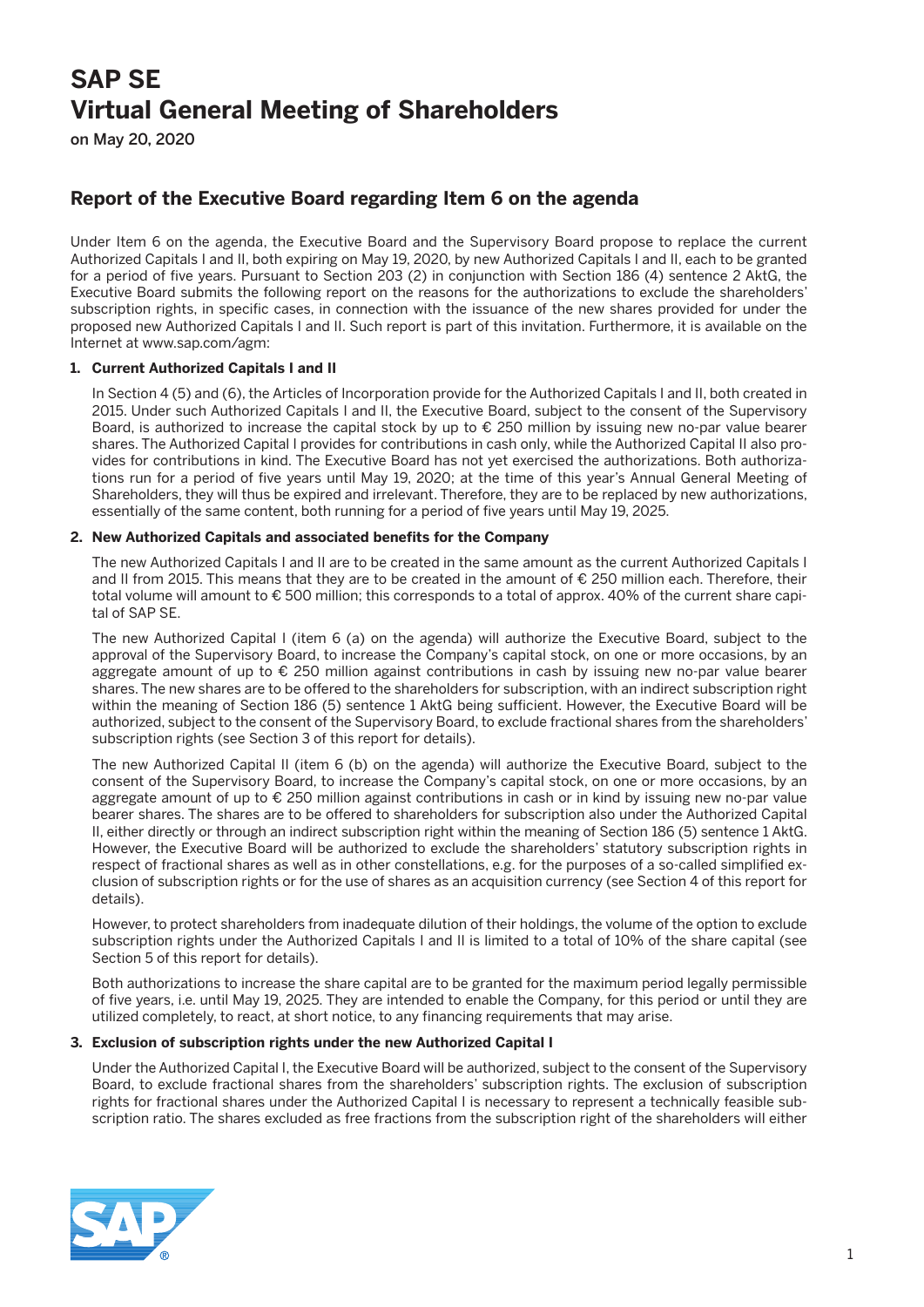# **SAP SE Virtual General Meeting of Shareholders**

on May 20, 2020

## **Report of the Executive Board regarding Item 6 on the agenda**

Under Item 6 on the agenda, the Executive Board and the Supervisory Board propose to replace the current Authorized Capitals I and II, both expiring on May 19, 2020, by new Authorized Capitals I and II, each to be granted for a period of five years. Pursuant to Section 203 (2) in conjunction with Section 186 (4) sentence 2 AktG, the Executive Board submits the following report on the reasons for the authorizations to exclude the shareholders' subscription rights, in specific cases, in connection with the issuance of the new shares provided for under the proposed new Authorized Capitals I and II. Such report is part of this invitation. Furthermore, it is available on the Internet at www.sap.com/agm:

#### **1. Current Authorized Capitals I and II**

 In Section 4 (5) and (6), the Articles of Incorporation provide for the Authorized Capitals I and II, both created in 2015. Under such Authorized Capitals I and II, the Executive Board, subject to the consent of the Supervisory Board, is authorized to increase the capital stock by up to € 250 million by issuing new no-par value bearer shares. The Authorized Capital I provides for contributions in cash only, while the Authorized Capital II also provides for contributions in kind. The Executive Board has not yet exercised the authorizations. Both authorizations run for a period of five years until May 19, 2020; at the time of this year's Annual General Meeting of Shareholders, they will thus be expired and irrelevant. Therefore, they are to be replaced by new authorizations, essentially of the same content, both running for a period of five years until May 19, 2025.

#### **2. New Authorized Capitals and associated benefits for the Company**

 The new Authorized Capitals I and II are to be created in the same amount as the current Authorized Capitals I and II from 2015. This means that they are to be created in the amount of € 250 million each. Therefore, their total volume will amount to € 500 million; this corresponds to a total of approx. 40% of the current share capital of SAP SE.

 The new Authorized Capital I (item 6 (a) on the agenda) will authorize the Executive Board, subject to the approval of the Supervisory Board, to increase the Company's capital stock, on one or more occasions, by an aggregate amount of up to € 250 million against contributions in cash by issuing new no-par value bearer shares. The new shares are to be offered to the shareholders for subscription, with an indirect subscription right within the meaning of Section 186 (5) sentence 1 AktG being sufficient. However, the Executive Board will be authorized, subject to the consent of the Supervisory Board, to exclude fractional shares from the shareholders' subscription rights (see Section 3 of this report for details).

 The new Authorized Capital II (item 6 (b) on the agenda) will authorize the Executive Board, subject to the consent of the Supervisory Board, to increase the Company's capital stock, on one or more occasions, by an aggregate amount of up to € 250 million against contributions in cash or in kind by issuing new no-par value bearer shares. The shares are to be offered to shareholders for subscription also under the Authorized Capital II, either directly or through an indirect subscription right within the meaning of Section 186 (5) sentence 1 AktG. However, the Executive Board will be authorized to exclude the shareholders' statutory subscription rights in respect of fractional shares as well as in other constellations, e.g. for the purposes of a so-called simplified exclusion of subscription rights or for the use of shares as an acquisition currency (see Section 4 of this report for details).

 However, to protect shareholders from inadequate dilution of their holdings, the volume of the option to exclude subscription rights under the Authorized Capitals I and II is limited to a total of 10% of the share capital (see Section 5 of this report for details).

 Both authorizations to increase the share capital are to be granted for the maximum period legally permissible of five years, i.e. until May 19, 2025. They are intended to enable the Company, for this period or until they are utilized completely, to react, at short notice, to any financing requirements that may arise.

#### **3. Exclusion of subscription rights under the new Authorized Capital I**

 Under the Authorized Capital I, the Executive Board will be authorized, subject to the consent of the Supervisory Board, to exclude fractional shares from the shareholders' subscription rights. The exclusion of subscription rights for fractional shares under the Authorized Capital I is necessary to represent a technically feasible subscription ratio. The shares excluded as free fractions from the subscription right of the shareholders will either

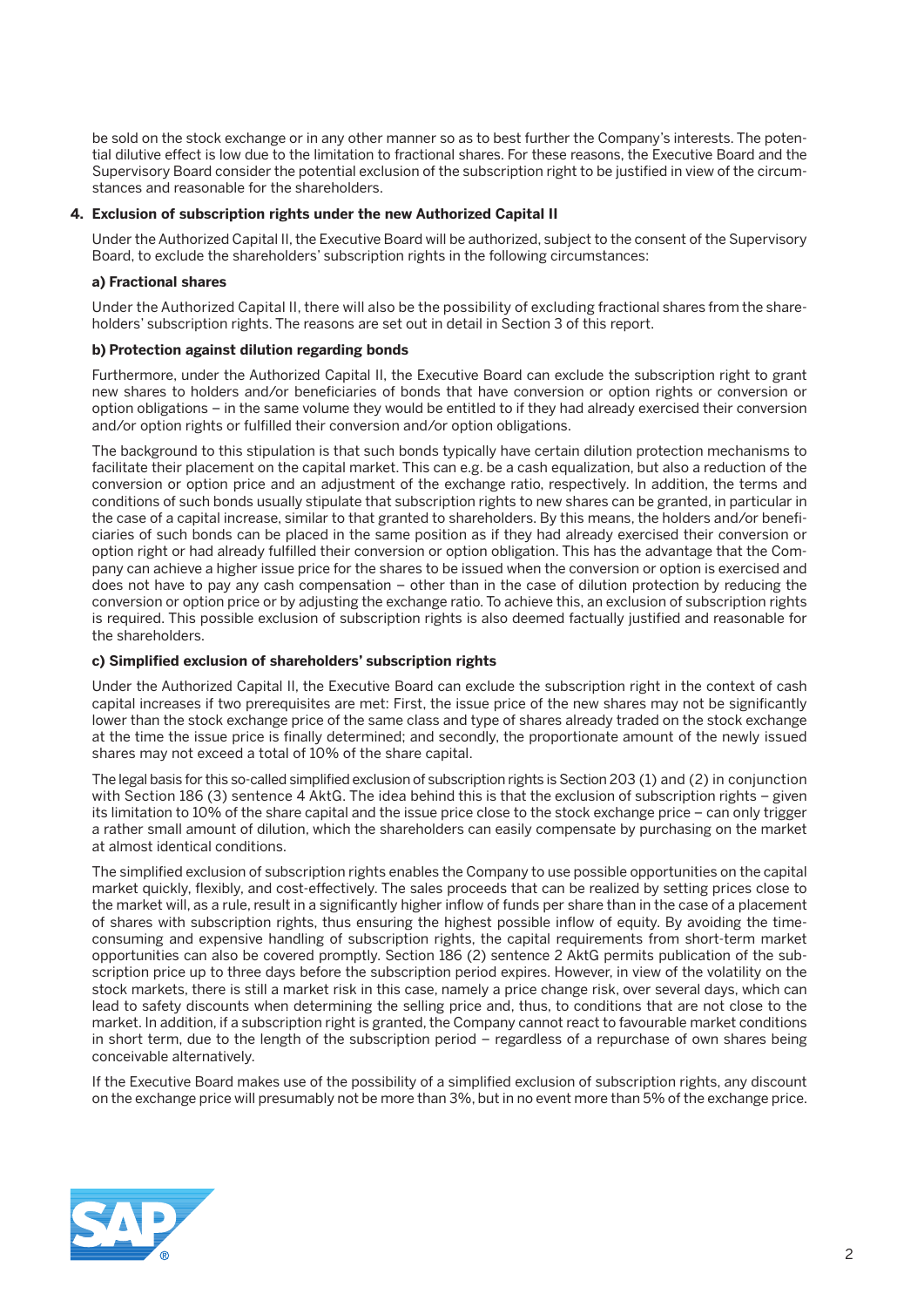be sold on the stock exchange or in any other manner so as to best further the Company's interests. The potential dilutive effect is low due to the limitation to fractional shares. For these reasons, the Executive Board and the Supervisory Board consider the potential exclusion of the subscription right to be justified in view of the circumstances and reasonable for the shareholders.

#### **4. Exclusion of subscription rights under the new Authorized Capital II**

 Under the Authorized Capital II, the Executive Board will be authorized, subject to the consent of the Supervisory Board, to exclude the shareholders' subscription rights in the following circumstances:

#### **a) Fractional shares**

 Under the Authorized Capital II, there will also be the possibility of excluding fractional shares from the shareholders' subscription rights. The reasons are set out in detail in Section 3 of this report.

#### **b) Protection against dilution regarding bonds**

 Furthermore, under the Authorized Capital II, the Executive Board can exclude the subscription right to grant new shares to holders and/or beneficiaries of bonds that have conversion or option rights or conversion or option obligations – in the same volume they would be entitled to if they had already exercised their conversion and/or option rights or fulfilled their conversion and/or option obligations.

 The background to this stipulation is that such bonds typically have certain dilution protection mechanisms to facilitate their placement on the capital market. This can e.g. be a cash equalization, but also a reduction of the conversion or option price and an adjustment of the exchange ratio, respectively. In addition, the terms and conditions of such bonds usually stipulate that subscription rights to new shares can be granted, in particular in the case of a capital increase, similar to that granted to shareholders. By this means, the holders and/or beneficiaries of such bonds can be placed in the same position as if they had already exercised their conversion or option right or had already fulfilled their conversion or option obligation. This has the advantage that the Company can achieve a higher issue price for the shares to be issued when the conversion or option is exercised and does not have to pay any cash compensation – other than in the case of dilution protection by reducing the conversion or option price or by adjusting the exchange ratio. To achieve this, an exclusion of subscription rights is required. This possible exclusion of subscription rights is also deemed factually justified and reasonable for the shareholders.

#### **c) Simplified exclusion of shareholders' subscription rights**

 Under the Authorized Capital II, the Executive Board can exclude the subscription right in the context of cash capital increases if two prerequisites are met: First, the issue price of the new shares may not be significantly lower than the stock exchange price of the same class and type of shares already traded on the stock exchange at the time the issue price is finally determined; and secondly, the proportionate amount of the newly issued shares may not exceed a total of 10% of the share capital.

 The legal basis for this so-called simplified exclusion of subscription rights is Section 203 (1) and (2) in conjunction with Section 186 (3) sentence 4 AktG. The idea behind this is that the exclusion of subscription rights – given its limitation to 10% of the share capital and the issue price close to the stock exchange price – can only trigger a rather small amount of dilution, which the shareholders can easily compensate by purchasing on the market at almost identical conditions.

 The simplified exclusion of subscription rights enables the Company to use possible opportunities on the capital market quickly, flexibly, and cost-effectively. The sales proceeds that can be realized by setting prices close to the market will, as a rule, result in a significantly higher inflow of funds per share than in the case of a placement of shares with subscription rights, thus ensuring the highest possible inflow of equity. By avoiding the timeconsuming and expensive handling of subscription rights, the capital requirements from short-term market opportunities can also be covered promptly. Section 186 (2) sentence 2 AktG permits publication of the subscription price up to three days before the subscription period expires. However, in view of the volatility on the stock markets, there is still a market risk in this case, namely a price change risk, over several days, which can lead to safety discounts when determining the selling price and, thus, to conditions that are not close to the market. In addition, if a subscription right is granted, the Company cannot react to favourable market conditions in short term, due to the length of the subscription period – regardless of a repurchase of own shares being conceivable alternatively.

 If the Executive Board makes use of the possibility of a simplified exclusion of subscription rights, any discount on the exchange price will presumably not be more than 3%, but in no event more than 5% of the exchange price.

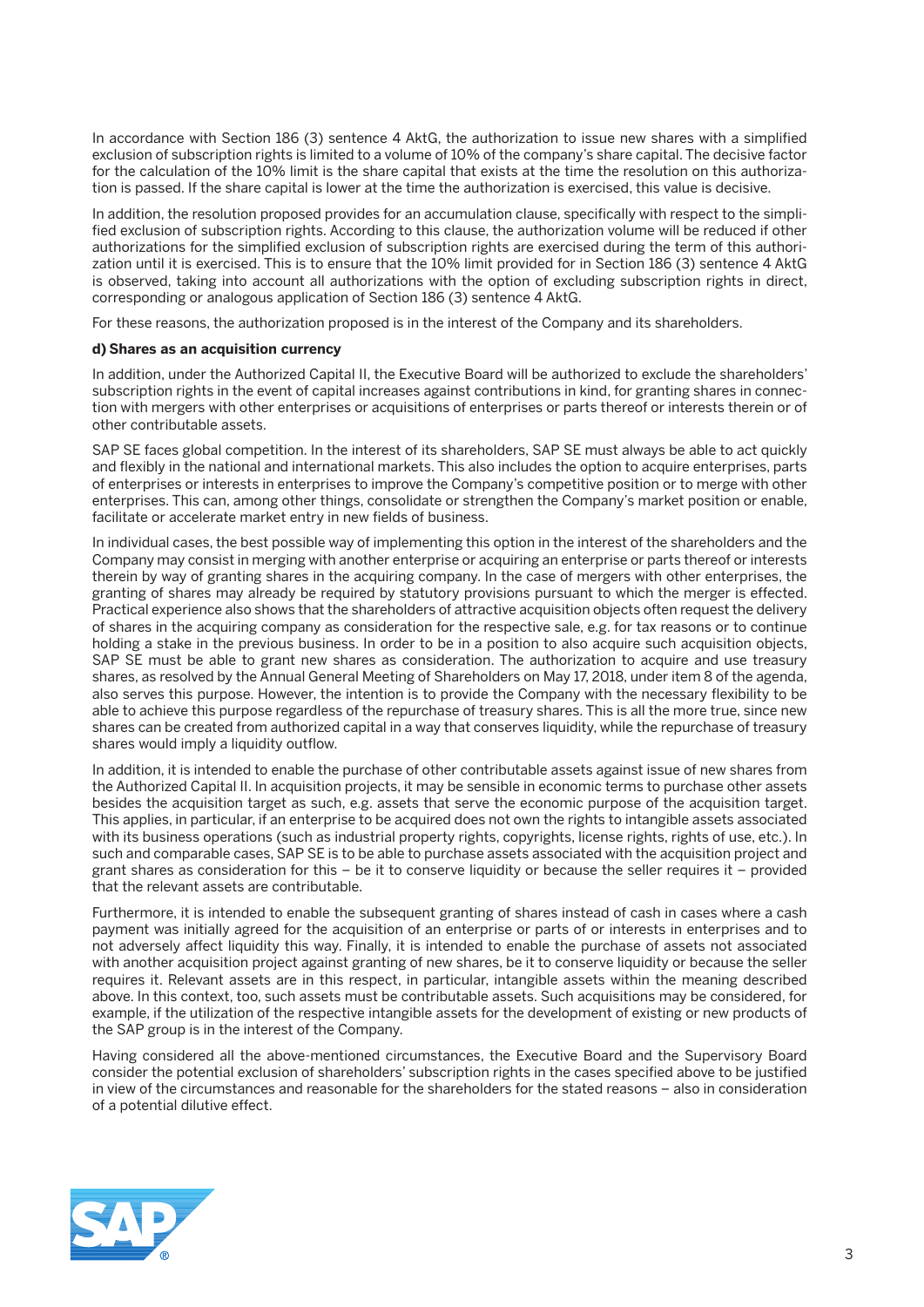In accordance with Section 186 (3) sentence 4 AktG, the authorization to issue new shares with a simplified exclusion of subscription rights is limited to a volume of 10% of the company's share capital. The decisive factor for the calculation of the 10% limit is the share capital that exists at the time the resolution on this authorization is passed. If the share capital is lower at the time the authorization is exercised, this value is decisive.

 In addition, the resolution proposed provides for an accumulation clause, specifically with respect to the simplified exclusion of subscription rights. According to this clause, the authorization volume will be reduced if other authorizations for the simplified exclusion of subscription rights are exercised during the term of this authorization until it is exercised. This is to ensure that the 10% limit provided for in Section 186 (3) sentence 4 AktG is observed, taking into account all authorizations with the option of excluding subscription rights in direct, corresponding or analogous application of Section 186 (3) sentence 4 AktG.

For these reasons, the authorization proposed is in the interest of the Company and its shareholders.

#### **d) Shares as an acquisition currency**

 In addition, under the Authorized Capital II, the Executive Board will be authorized to exclude the shareholders' subscription rights in the event of capital increases against contributions in kind, for granting shares in connection with mergers with other enterprises or acquisitions of enterprises or parts thereof or interests therein or of other contributable assets.

 SAP SE faces global competition. In the interest of its shareholders, SAP SE must always be able to act quickly and flexibly in the national and international markets. This also includes the option to acquire enterprises, parts of enterprises or interests in enterprises to improve the Company's competitive position or to merge with other enterprises. This can, among other things, consolidate or strengthen the Company's market position or enable, facilitate or accelerate market entry in new fields of business.

 In individual cases, the best possible way of implementing this option in the interest of the shareholders and the Company may consist in merging with another enterprise or acquiring an enterprise or parts thereof or interests therein by way of granting shares in the acquiring company. In the case of mergers with other enterprises, the granting of shares may already be required by statutory provisions pursuant to which the merger is effected. Practical experience also shows that the shareholders of attractive acquisition objects often request the delivery of shares in the acquiring company as consideration for the respective sale, e.g. for tax reasons or to continue holding a stake in the previous business. In order to be in a position to also acquire such acquisition objects, SAP SE must be able to grant new shares as consideration. The authorization to acquire and use treasury shares, as resolved by the Annual General Meeting of Shareholders on May 17, 2018, under item 8 of the agenda, also serves this purpose. However, the intention is to provide the Company with the necessary flexibility to be able to achieve this purpose regardless of the repurchase of treasury shares. This is all the more true, since new shares can be created from authorized capital in a way that conserves liquidity, while the repurchase of treasury shares would imply a liquidity outflow.

 In addition, it is intended to enable the purchase of other contributable assets against issue of new shares from the Authorized Capital II. In acquisition projects, it may be sensible in economic terms to purchase other assets besides the acquisition target as such, e.g. assets that serve the economic purpose of the acquisition target. This applies, in particular, if an enterprise to be acquired does not own the rights to intangible assets associated with its business operations (such as industrial property rights, copyrights, license rights, rights of use, etc.). In such and comparable cases, SAP SE is to be able to purchase assets associated with the acquisition project and grant shares as consideration for this – be it to conserve liquidity or because the seller requires it – provided that the relevant assets are contributable.

 Furthermore, it is intended to enable the subsequent granting of shares instead of cash in cases where a cash payment was initially agreed for the acquisition of an enterprise or parts of or interests in enterprises and to not adversely affect liquidity this way. Finally, it is intended to enable the purchase of assets not associated with another acquisition project against granting of new shares, be it to conserve liquidity or because the seller requires it. Relevant assets are in this respect, in particular, intangible assets within the meaning described above. In this context, too, such assets must be contributable assets. Such acquisitions may be considered, for example, if the utilization of the respective intangible assets for the development of existing or new products of the SAP group is in the interest of the Company.

 Having considered all the above-mentioned circumstances, the Executive Board and the Supervisory Board consider the potential exclusion of shareholders' subscription rights in the cases specified above to be justified in view of the circumstances and reasonable for the shareholders for the stated reasons – also in consideration of a potential dilutive effect.